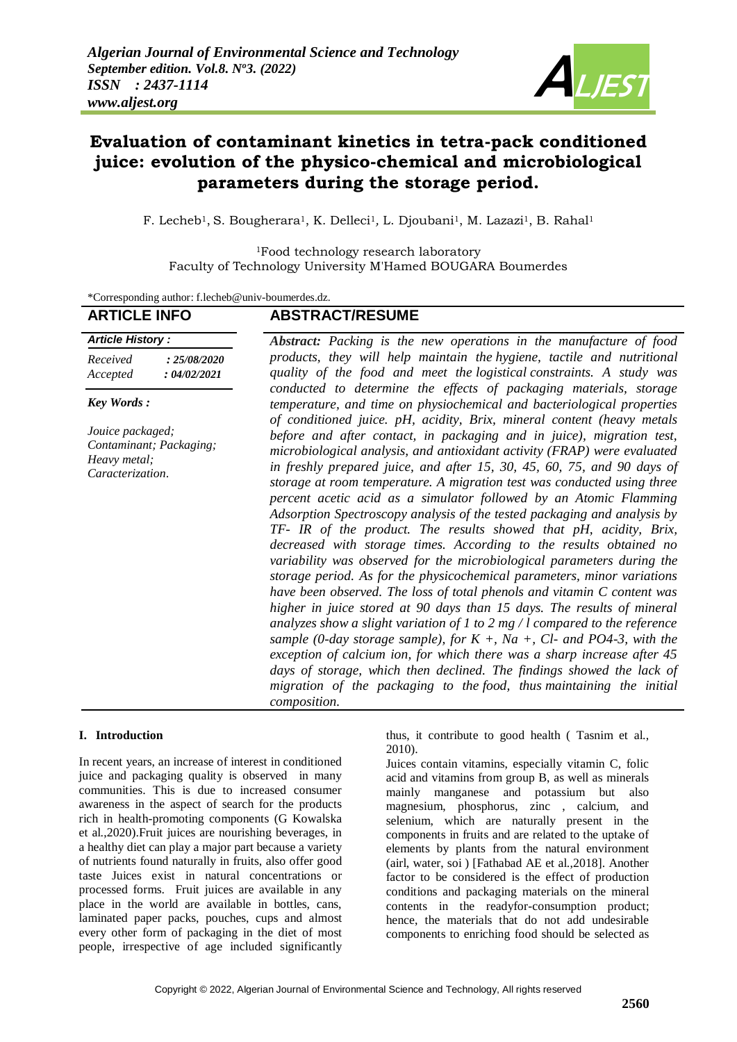

# **Evaluation of contaminant kinetics in tetra-pack conditioned juice: evolution of the physico-chemical and microbiological parameters during the storage period.**

F. Lecheb<sup>1</sup>, S. Bougherara<sup>1</sup>, K. Delleci<sup>1</sup>, L. Djoubani<sup>1</sup>, M. Lazazi<sup>1</sup>, B. Rahal<sup>1</sup>

<sup>1</sup>Food technology research laboratory Faculty of Technology University M'Hamed BOUGARA Boumerdes

\*Corresponding author: [f.lecheb@univ-boumerdes.dz.](mailto:f.lecheb@univ-boumerdes.dz)

| <b>ARTICLE INFO</b>                                                             | <b>ABSTRACT/RESUME</b>                                                                                                                                                                                                                                                                                                                                                                                                                                                                                                                                                                                                                                                                                                                                                                                                                                                                                                                                                                                                                                                                                                                                                                                                                                                                                                                                                                            |
|---------------------------------------------------------------------------------|---------------------------------------------------------------------------------------------------------------------------------------------------------------------------------------------------------------------------------------------------------------------------------------------------------------------------------------------------------------------------------------------------------------------------------------------------------------------------------------------------------------------------------------------------------------------------------------------------------------------------------------------------------------------------------------------------------------------------------------------------------------------------------------------------------------------------------------------------------------------------------------------------------------------------------------------------------------------------------------------------------------------------------------------------------------------------------------------------------------------------------------------------------------------------------------------------------------------------------------------------------------------------------------------------------------------------------------------------------------------------------------------------|
| <b>Article History:</b>                                                         | <b>Abstract:</b> Packing is the new operations in the manufacture of food                                                                                                                                                                                                                                                                                                                                                                                                                                                                                                                                                                                                                                                                                                                                                                                                                                                                                                                                                                                                                                                                                                                                                                                                                                                                                                                         |
| Received<br>: 25/08/2020<br>Accepted<br>: 04/02/2021                            | products, they will help maintain the hygiene, tactile and nutritional<br>quality of the food and meet the logistical constraints. A study was                                                                                                                                                                                                                                                                                                                                                                                                                                                                                                                                                                                                                                                                                                                                                                                                                                                                                                                                                                                                                                                                                                                                                                                                                                                    |
| <b>Key Words:</b>                                                               | conducted to determine the effects of packaging materials, storage<br>temperature, and time on physiochemical and bacteriological properties                                                                                                                                                                                                                                                                                                                                                                                                                                                                                                                                                                                                                                                                                                                                                                                                                                                                                                                                                                                                                                                                                                                                                                                                                                                      |
| Jouice packaged;<br>Contaminant; Packaging;<br>Heavy metal;<br>Caracterization. | of conditioned juice. pH, acidity, Brix, mineral content (heavy metals<br>before and after contact, in packaging and in juice), migration test,<br>microbiological analysis, and antioxidant activity (FRAP) were evaluated<br>in freshly prepared juice, and after 15, 30, 45, 60, 75, and 90 days of<br>storage at room temperature. A migration test was conducted using three<br>percent acetic acid as a simulator followed by an Atomic Flamming<br>Adsorption Spectroscopy analysis of the tested packaging and analysis by<br>TF- IR of the product. The results showed that pH, acidity, Brix,<br>decreased with storage times. According to the results obtained no<br>variability was observed for the microbiological parameters during the<br>storage period. As for the physicochemical parameters, minor variations<br>have been observed. The loss of total phenols and vitamin C content was<br>higher in juice stored at 90 days than 15 days. The results of mineral<br>analyzes show a slight variation of 1 to 2 mg / l compared to the reference<br>sample (0-day storage sample), for $K +$ , Na $+$ , Cl- and PO4-3, with the<br>exception of calcium ion, for which there was a sharp increase after 45<br>days of storage, which then declined. The findings showed the lack of<br>migration of the packaging to the food, thus maintaining the initial<br>composition. |

## **I. Introduction**

In recent years, an increase of interest in conditioned juice and packaging quality is observed in many communities. This is due to increased consumer awareness in the aspect of search for the products rich in health-promoting components (G Kowalska et al.,2020).Fruit juices are nourishing beverages, in a healthy diet can play a major part because a variety of nutrients found naturally in fruits, also offer good taste Juices exist in natural concentrations or processed forms. Fruit juices are available in any place in the world are available in bottles, cans, laminated paper packs, pouches, cups and almost every other form of packaging in the diet of most people, irrespective of age included significantly

thus, it contribute to good health ( Tasnim et al., 2010).

Juices contain vitamins, especially vitamin C, folic acid and vitamins from group B, as well as minerals mainly manganese and potassium but also magnesium, phosphorus, zinc , calcium, and selenium, which are naturally present in the components in fruits and are related to the uptake of elements by plants from the natural environment (airl, water, soi ) [Fathabad AE et al.,2018]. Another factor to be considered is the effect of production conditions and packaging materials on the mineral contents in the readyfor-consumption product; hence, the materials that do not add undesirable components to enriching food should be selected as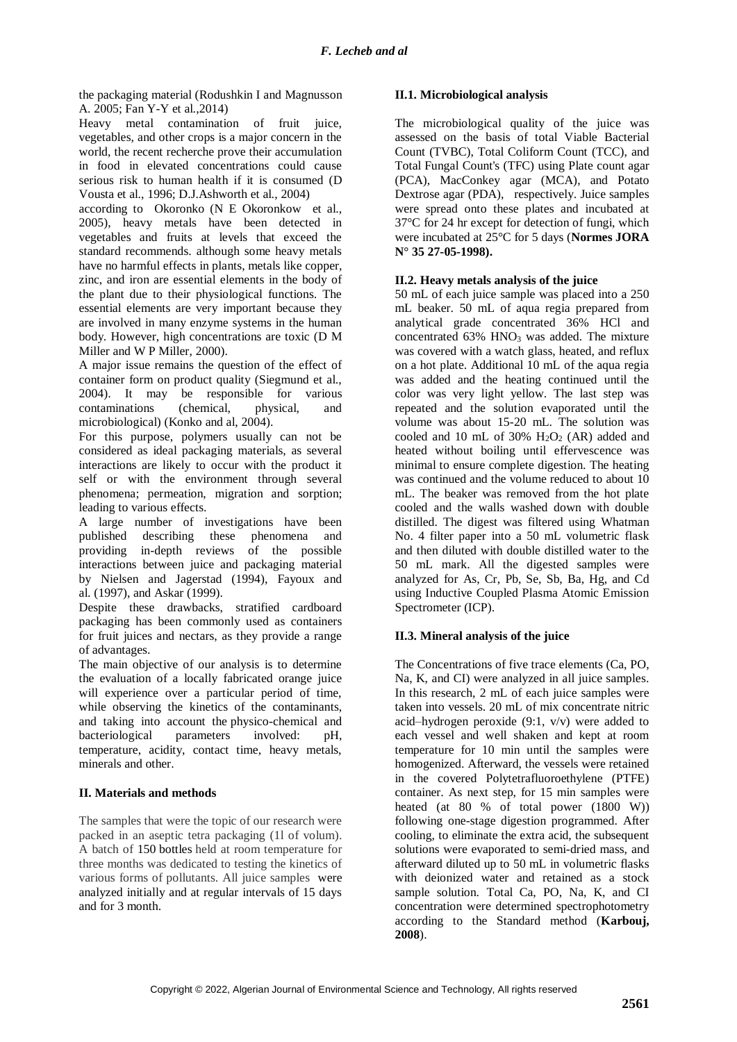the packaging material (Rodushkin I and Magnusson A. 2005; Fan Y-Y et al.,2014)

Heavy metal contamination of fruit juice, vegetables, and other crops is a major concern in the world, the recent recherche prove their accumulation in food in elevated concentrations could cause serious risk to human health if it is consumed (D Vousta et al., 1996; D.J.Ashworth et al., 2004)

according to Okoronko (N E Okoronkow et al., 2005), heavy metals have been detected in vegetables and fruits at levels that exceed the standard recommends. although some heavy metals have no harmful effects in plants, metals like copper, zinc, and iron are essential elements in the body of the plant due to their physiological functions. The essential elements are very important because they are involved in many enzyme systems in the human body. However, high concentrations are toxic (D M Miller and W P Miller, 2000).

A major issue remains the question of the effect of container form on product quality (Siegmund et al., 2004). It may be responsible for various contaminations (chemical, physical, and microbiological) (Konko and al, 2004).

For this purpose, polymers usually can not be considered as ideal packaging materials, as several interactions are likely to occur with the product it self or with the environment through several phenomena; permeation, migration and sorption; leading to various effects.

A large number of investigations have been published describing these phenomena and providing in-depth reviews of the possible interactions between juice and packaging material by Nielsen and Jagerstad (1994), Fayoux and al. (1997), and Askar (1999).

Despite these drawbacks, stratified cardboard packaging has been commonly used as containers for fruit juices and nectars, as they provide a range of advantages.

The main objective of our analysis is to determine the evaluation of a locally fabricated orange juice will experience over a particular period of time, while observing the kinetics of the contaminants, and taking into account the physico-chemical and bacteriological parameters involved: pH, temperature, acidity, contact time, heavy metals, minerals and other.

# **II. Materials and methods**

The samples that were the topic of our research were packed in an aseptic tetra packaging (1l of volum). A batch of 150 bottles held at room temperature for three months was dedicated to testing the kinetics of various forms of pollutants. All juice samples were analyzed initially and at regular intervals of 15 days and for 3 month.

# **II.1. Microbiological analysis**

The microbiological quality of the juice was assessed on the basis of total Viable Bacterial Count (TVBC), Total Coliform Count (TCC), and Total Fungal Count's (TFC) using Plate count agar (PCA), MacConkey agar (MCA), and Potato Dextrose agar (PDA), respectively. Juice samples were spread onto these plates and incubated at 37°C for 24 hr except for detection of fungi, which were incubated at 25°C for 5 days (**Normes JORA N° 35 27-05-1998).**

# **II.2. Heavy metals analysis of the juice**

50 mL of each juice sample was placed into a 250 mL beaker. 50 mL of aqua regia prepared from analytical grade concentrated 36% HCl and concentrated 63% HNO<sup>3</sup> was added. The mixture was covered with a watch glass, heated, and reflux on a hot plate. Additional 10 mL of the aqua regia was added and the heating continued until the color was very light yellow. The last step was repeated and the solution evaporated until the volume was about 15-20 mL. The solution was cooled and 10 mL of 30%  $H<sub>2</sub>O<sub>2</sub>$  (AR) added and heated without boiling until effervescence was minimal to ensure complete digestion. The heating was continued and the volume reduced to about 10 mL. The beaker was removed from the hot plate cooled and the walls washed down with double distilled. The digest was filtered using Whatman No. 4 filter paper into a 50 mL volumetric flask and then diluted with double distilled water to the 50 mL mark. All the digested samples were analyzed for As, Cr, Pb, Se, Sb, Ba, Hg, and Cd using Inductive Coupled Plasma Atomic Emission Spectrometer (ICP).

# **II.3. Mineral analysis of the juice**

The Concentrations of five trace elements (Ca, PO, Na, K, and CI) were analyzed in all juice samples. In this research, 2 mL of each juice samples were taken into vessels. 20 mL of mix concentrate nitric acid–hydrogen peroxide (9:1, v/v) were added to each vessel and well shaken and kept at room temperature for 10 min until the samples were homogenized. Afterward, the vessels were retained in the covered Polytetrafluoroethylene (PTFE) container. As next step, for 15 min samples were heated (at 80 % of total power (1800 W)) following one-stage digestion programmed. After cooling, to eliminate the extra acid, the subsequent solutions were evaporated to semi-dried mass, and afterward diluted up to 50 mL in volumetric flasks with deionized water and retained as a stock sample solution. Total Ca, PO, Na, K, and CI concentration were determined spectrophotometry according to the Standard method (**Karbouj, 2008**).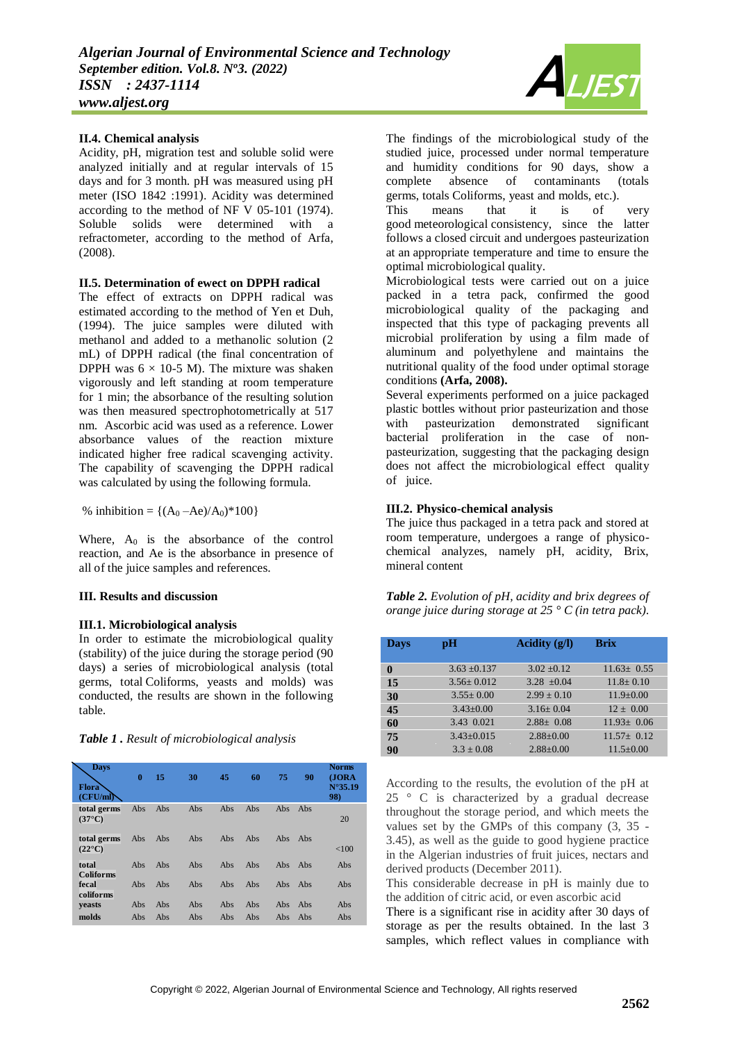## **II.4. Chemical analysis**

Acidity, pH, migration test and soluble solid were analyzed initially and at regular intervals of 15 days and for 3 month. pH was measured using pH meter (ISO 1842 :1991). Acidity was determined according to the method of NF V 05-101 (1974). Soluble solids were determined with a refractometer, according to the method of Arfa, (2008).

#### **II.5. Determination of ewect on DPPH radical**

The effect of extracts on DPPH radical was estimated according to the method of Yen et Duh, (1994). The juice samples were diluted with methanol and added to a methanolic solution (2 mL) of DPPH radical (the final concentration of DPPH was  $6 \times 10$ -5 M). The mixture was shaken vigorously and left standing at room temperature for 1 min; the absorbance of the resulting solution was then measured spectrophotometrically at 517 nm. Ascorbic acid was used as a reference. Lower absorbance values of the reaction mixture indicated higher free radical scavenging activity. The capability of scavenging the DPPH radical was calculated by using the following formula.

% inhibition =  ${(A_0 - Ae)/A_0}$  \* 100}

Where,  $A_0$  is the absorbance of the control reaction, and Ae is the absorbance in presence of all of the juice samples and references.

## **III. Results and discussion**

## **III.1. Microbiological analysis**

In order to estimate the microbiological quality (stability) of the juice during the storage period (90 days) a series of microbiological analysis (total germs, total Coliforms, yeasts and molds) was conducted, the results are shown in the following table.

|  | Table 1. Result of microbiological analysis |
|--|---------------------------------------------|
|--|---------------------------------------------|

| <b>Days</b><br><b>Flora</b><br>(CFU/ml) | $\mathbf{0}$ | 15         | 30         | 45         | 60         | 75                       | 90         | <b>Norms</b><br>(JORA)<br>$N^{\circ}35.19$<br>98) |
|-----------------------------------------|--------------|------------|------------|------------|------------|--------------------------|------------|---------------------------------------------------|
| total germs<br>$(37^{\circ}C)$          | Abs          | Abs        | Abs        | Abs        | Abs        | Abs                      | Abs        | 20                                                |
| total germs<br>$(22^{\circ}C)$          | Abs          | Abs        | Abs        | Abs        | Abs        | Abs                      | Abs        | < 100                                             |
| total<br><b>Coliforms</b>               | Abs          | Abs        | Abs        | Abs        | Abs        | <b>Abs</b>               | Abs        | Abs                                               |
| fecal<br>coliforms                      | Abs          | Abs        | Abs        | Abs        | Abs        | <b>Abs</b>               | Abs        | Abs                                               |
| <b>veasts</b><br>molds                  | Abs<br>Abs   | Abs<br>Abs | Abs<br>Abs | Abs<br>Abs | Abs<br>Abs | <b>Abs</b><br><b>Abs</b> | Abs<br>Abs | Abs<br>Abs                                        |



The findings of the microbiological study of the studied juice, processed under normal temperature and humidity conditions for 90 days, show a complete absence of contaminants (totals germs, totals Coliforms, yeast and molds, etc.).

This means that it is of very good meteorological consistency, since the latter follows a closed circuit and undergoes pasteurization at an appropriate temperature and time to ensure the optimal microbiological quality.

Microbiological tests were carried out on a juice packed in a tetra pack, confirmed the good microbiological quality of the packaging and inspected that this type of packaging prevents all microbial proliferation by using a film made of aluminum and polyethylene and maintains the nutritional quality of the food under optimal storage conditions **(Arfa, 2008).**

Several experiments performed on a juice packaged plastic bottles without prior pasteurization and those with pasteurization demonstrated significant bacterial proliferation in the case of nonpasteurization, suggesting that the packaging design does not affect the microbiological effect quality of juice.

## **III.2. Physico-chemical analysis**

The juice thus packaged in a tetra pack and stored at room temperature, undergoes a range of physicochemical analyzes, namely pH, acidity, Brix, mineral content

*Table 2. Evolution of pH, acidity and brix degrees of orange juice during storage at 25 ° C (in tetra pack).*

| <b>Days</b> | pH               | Acidity $(g/I)$ | <b>Brix</b>      |
|-------------|------------------|-----------------|------------------|
|             |                  |                 |                  |
| 0           | $3.63 \pm 0.137$ | $3.02 + 0.12$   | $11.63 + 0.55$   |
| 15          | $3.56 + 0.012$   | $3.28 \pm 0.04$ | $11.8 + 0.10$    |
| 30          | $3.55+0.00$      | $2.99 + 0.10$   | $11.9+0.00$      |
| 45          | $3.43+0.00$      | $3.16 + 0.04$   | $12 + 0.00$      |
| 60          | 3.43 0.021       | $2.88 \pm 0.08$ | $11.93 \pm 0.06$ |
| 75          | $3.43 + 0.015$   | $2.88 \pm 0.00$ | $11.57 + 0.12$   |
| 90          | $3.3 + 0.08$     | $2.88 \pm 0.00$ | $11.5 \pm 0.00$  |

According to the results, the evolution of the pH at 25 ° C is characterized by a gradual decrease throughout the storage period, and which meets the values set by the GMPs of this company (3, 35 - 3.45), as well as the guide to good hygiene practice in the Algerian industries of fruit juices, nectars and derived products (December 2011).

This considerable decrease in pH is mainly due to the addition of citric acid, or even ascorbic acid

There is a significant rise in acidity after 30 days of storage as per the results obtained. In the last 3 samples, which reflect values in compliance with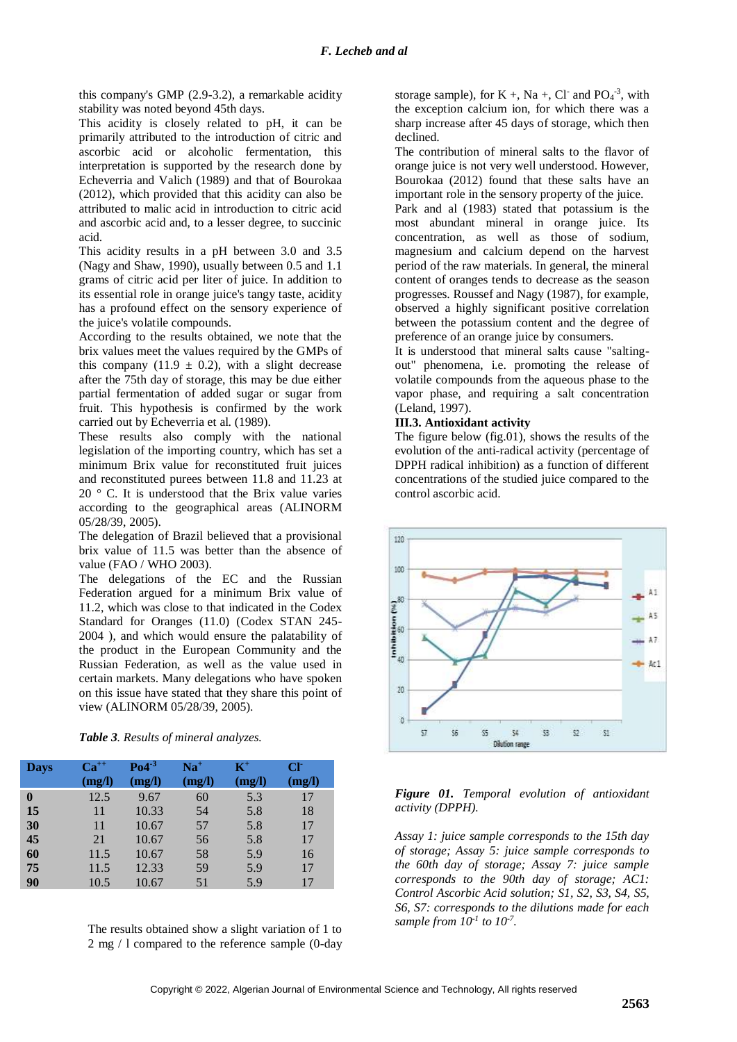this company's GMP (2.9-3.2), a remarkable acidity stability was noted beyond 45th days.

This acidity is closely related to pH, it can be primarily attributed to the introduction of citric and ascorbic acid or alcoholic fermentation, this interpretation is supported by the research done by Echeverria and Valich (1989) and that of Bourokaa (2012), which provided that this acidity can also be attributed to malic acid in introduction to citric acid and ascorbic acid and, to a lesser degree, to succinic acid.

This acidity results in a pH between 3.0 and 3.5 (Nagy and Shaw, 1990), usually between 0.5 and 1.1 grams of citric acid per liter of juice. In addition to its essential role in orange juice's tangy taste, acidity has a profound effect on the sensory experience of the juice's volatile compounds.

According to the results obtained, we note that the brix values meet the values required by the GMPs of this company (11.9  $\pm$  0.2), with a slight decrease after the 75th day of storage, this may be due either partial fermentation of added sugar or sugar from fruit. This hypothesis is confirmed by the work carried out by Echeverria et al. (1989).

These results also comply with the national legislation of the importing country, which has set a minimum Brix value for reconstituted fruit juices and reconstituted purees between 11.8 and 11.23 at  $20$   $\degree$  C. It is understood that the Brix value varies according to the geographical areas (ALINORM 05/28/39, 2005).

The delegation of Brazil believed that a provisional brix value of 11.5 was better than the absence of value (FAO / WHO 2003).

The delegations of the EC and the Russian Federation argued for a minimum Brix value of 11.2, which was close to that indicated in the Codex Standard for Oranges (11.0) (Codex STAN 245- 2004 ), and which would ensure the palatability of the product in the European Community and the Russian Federation, as well as the value used in certain markets. Many delegations who have spoken on this issue have stated that they share this point of view (ALINORM 05/28/39, 2005).

| Table 3. Results of mineral analyzes. |  |  |  |  |
|---------------------------------------|--|--|--|--|
|---------------------------------------|--|--|--|--|

| <b>Days</b>  | $Ca^{++}$<br>(mg/l) | Po4 <sup>3</sup><br>(mg/l) | $Na+$<br>(mg/l) | $\mathbf{K}^+$<br>(mg/l) | CF<br>(mg/l) |
|--------------|---------------------|----------------------------|-----------------|--------------------------|--------------|
| $\mathbf{0}$ | 12.5                | 9.67                       | 60              | 5.3                      | 17           |
| 15           | 11                  | 10.33                      | 54              | 5.8                      | 18           |
| 30           | 11                  | 10.67                      | 57              | 5.8                      | 17           |
| 45           | 21                  | 10.67                      | 56              | 5.8                      | 17           |
| 60           | 11.5                | 10.67                      | 58              | 5.9                      | 16           |
| 75           | 11.5                | 12.33                      | 59              | 5.9                      | 17           |
| 90           | 10.5                | 10.67                      | 51              | 5.9                      | 17           |

The results obtained show a slight variation of 1 to 2 mg / l compared to the reference sample (0-day

storage sample), for  $K +$ , Na +, Cl· and PO<sub>4</sub><sup>-3</sup>, with the exception calcium ion, for which there was a sharp increase after 45 days of storage, which then declined.

The contribution of mineral salts to the flavor of orange juice is not very well understood. However, Bourokaa (2012) found that these salts have an important role in the sensory property of the juice.

Park and al (1983) stated that potassium is the most abundant mineral in orange juice. Its concentration, as well as those of sodium, magnesium and calcium depend on the harvest period of the raw materials. In general, the mineral content of oranges tends to decrease as the season progresses. Roussef and Nagy (1987), for example, observed a highly significant positive correlation between the potassium content and the degree of preference of an orange juice by consumers.

It is understood that mineral salts cause "saltingout" phenomena, i.e. promoting the release of volatile compounds from the aqueous phase to the vapor phase, and requiring a salt concentration (Leland, 1997).

#### **III.3. Antioxidant activity**

The figure below (fig.01), shows the results of the evolution of the anti-radical activity (percentage of DPPH radical inhibition) as a function of different concentrations of the studied juice compared to the control ascorbic acid.



## *Figure 01. Temporal evolution of antioxidant activity (DPPH).*

*Assay 1: juice sample corresponds to the 15th day of storage; Assay 5: juice sample corresponds to the 60th day of storage; Assay 7: juice sample corresponds to the 90th day of storage; AC1: Control Ascorbic Acid solution; S1, S2, S3, S4, S5, S6, S7: corresponds to the dilutions made for each sample from 10-1 to 10-7 .*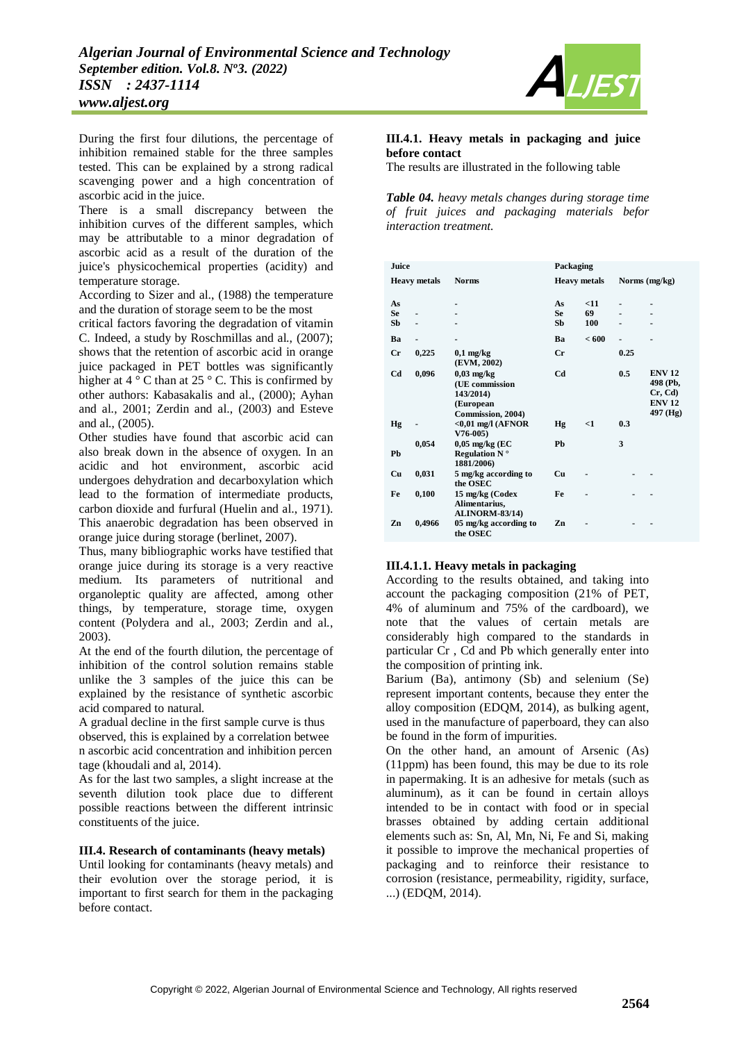

During the first four dilutions, the percentage of inhibition remained stable for the three samples tested. This can be explained by a strong radical scavenging power and a high concentration of ascorbic acid in the juice.

There is a small discrepancy between the inhibition curves of the different samples, which may be attributable to a minor degradation of ascorbic acid as a result of the duration of the juice's physicochemical properties (acidity) and temperature storage.

According to Sizer and al., (1988) the temperature and the duration of storage seem to be the most

critical factors favoring the degradation of vitamin C. Indeed, a study by Roschmillas and al., (2007); shows that the retention of ascorbic acid in orange juice packaged in PET bottles was significantly higher at  $4^\circ$  C than at  $25^\circ$  C. This is confirmed by other authors: Kabasakalis and al., (2000); Ayhan and al., 2001; Zerdin and al., (2003) and Esteve and al., (2005).

Other studies have found that ascorbic acid can also break down in the absence of oxygen. In an acidic and hot environment, ascorbic acid undergoes dehydration and decarboxylation which lead to the formation of intermediate products, carbon dioxide and furfural (Huelin and al., 1971). This anaerobic degradation has been observed in orange juice during storage (berlinet, 2007).

Thus, many bibliographic works have testified that orange juice during its storage is a very reactive medium. Its parameters of nutritional and organoleptic quality are affected, among other things, by temperature, storage time, oxygen content (Polydera and al., 2003; Zerdin and al., 2003).

At the end of the fourth dilution, the percentage of inhibition of the control solution remains stable unlike the 3 samples of the juice this can be explained by the resistance of synthetic ascorbic acid compared to natural.

A gradual decline in the first sample curve is thus observed, this is explained by a correlation betwee n ascorbic acid concentration and inhibition percen tage (khoudali and al, 2014).

As for the last two samples, a slight increase at the seventh dilution took place due to different possible reactions between the different intrinsic constituents of the juice.

# **III.4. Research of contaminants (heavy metals)**

Until looking for contaminants (heavy metals) and their evolution over the storage period, it is important to first search for them in the packaging before contact.

#### **III.4.1. Heavy metals in packaging and juice before contact**

The results are illustrated in the following table

*Table 04. heavy metals changes during storage time of fruit juices and packaging materials befor interaction treatment.*

| Juice               |        |                                                                               | Packaging      |                     |      |                                                                  |  |  |
|---------------------|--------|-------------------------------------------------------------------------------|----------------|---------------------|------|------------------------------------------------------------------|--|--|
| <b>Heavy</b> metals |        | <b>Norms</b>                                                                  |                | <b>Heavy metals</b> |      | Norms (mg/kg)                                                    |  |  |
| As                  |        |                                                                               | As             | < 11                |      |                                                                  |  |  |
| <b>Se</b>           |        |                                                                               | <b>Se</b>      | 69                  |      |                                                                  |  |  |
| Sb                  |        |                                                                               | Sb             | 100                 |      |                                                                  |  |  |
| Ba                  |        |                                                                               | Ba             | < 600               |      |                                                                  |  |  |
| $_{\rm Cr}$         | 0,225  | $0,1$ mg/kg<br>(EVM, 2002)                                                    | $_{\rm Cr}$    |                     | 0.25 |                                                                  |  |  |
| Cd                  | 0,096  | $0.03$ mg/kg<br>(UE commission<br>143/2014)<br>(European<br>Commission, 2004) | C <sub>d</sub> |                     | 0.5  | <b>ENV 12</b><br>498 (Pb,<br>Cr, Cd<br><b>ENV 12</b><br>497 (Hg) |  |  |
| Hg                  |        | $<$ 0,01 mg/l (AFNOR<br>$V76-005$                                             | <b>Hg</b>      | $<$ 1               | 0.3  |                                                                  |  |  |
| Pb                  | 0,054  | $0,05$ mg/kg (EC<br><b>Regulation N</b> $^{\circ}$<br>1881/2006)              | Ph             |                     | 3    |                                                                  |  |  |
| Cu                  | 0,031  | 5 mg/kg according to<br>the OSEC                                              | Cu             |                     |      |                                                                  |  |  |
| Fe                  | 0,100  | 15 mg/kg (Codex<br>Alimentarius,<br><b>ALINORM-83/14)</b>                     | Fe             |                     |      |                                                                  |  |  |
| Zn                  | 0,4966 | 05 mg/kg according to<br>the OSEC                                             | Zn             |                     |      |                                                                  |  |  |

## **III.4.1.1. Heavy metals in packaging**

According to the results obtained, and taking into account the packaging composition (21% of PET, 4% of aluminum and 75% of the cardboard), we note that the values of certain metals are considerably high compared to the standards in particular Cr , Cd and Pb which generally enter into the composition of printing ink.

Barium (Ba), antimony (Sb) and selenium (Se) represent important contents, because they enter the alloy composition (EDQM, 2014), as bulking agent, used in the manufacture of paperboard, they can also be found in the form of impurities.

On the other hand, an amount of Arsenic (As) (11ppm) has been found, this may be due to its role in papermaking. It is an adhesive for metals (such as aluminum), as it can be found in certain alloys intended to be in contact with food or in special brasses obtained by adding certain additional elements such as: Sn, Al, Mn, Ni, Fe and Si, making it possible to improve the mechanical properties of packaging and to reinforce their resistance to corrosion (resistance, permeability, rigidity, surface, ...) (EDQM, 2014).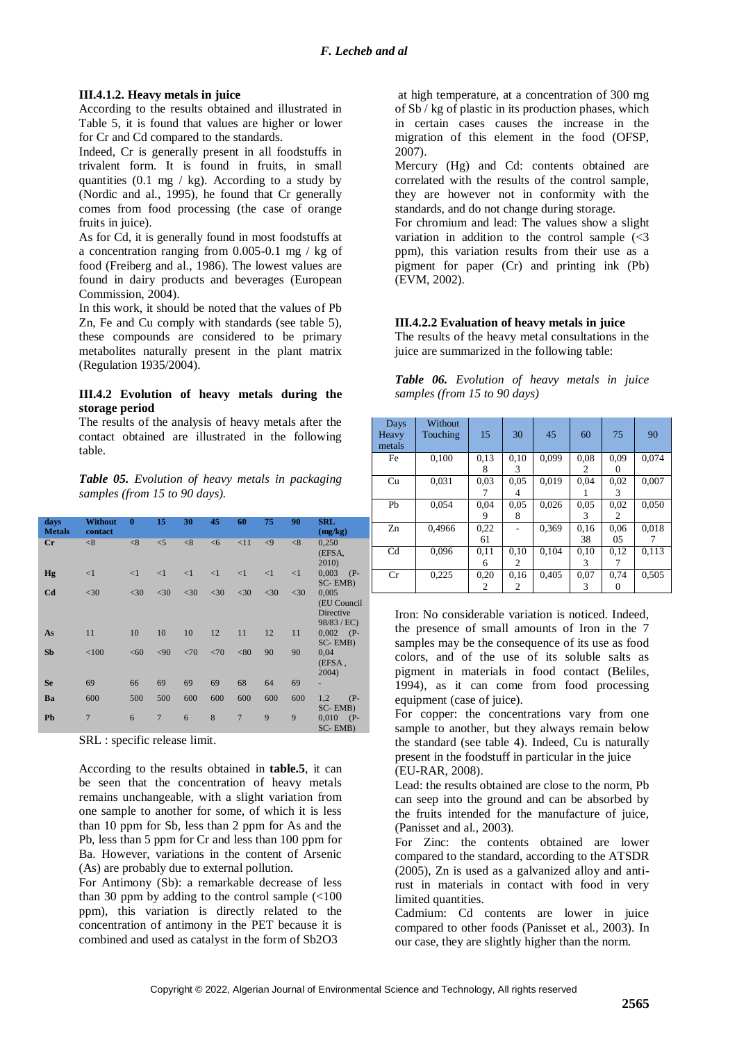## **III.4.1.2. Heavy metals in juice**

According to the results obtained and illustrated in Table 5, it is found that values are higher or lower for Cr and Cd compared to the standards.

Indeed, Cr is generally present in all foodstuffs in trivalent form. It is found in fruits, in small quantities  $(0.1 \text{ mg} / \text{kg})$ . According to a study by (Nordic and al., 1995), he found that Cr generally comes from food processing (the case of orange fruits in juice).

As for Cd, it is generally found in most foodstuffs at a concentration ranging from 0.005-0.1 mg / kg of food (Freiberg and al., 1986). The lowest values are found in dairy products and beverages (European Commission, 2004).

In this work, it should be noted that the values of Pb Zn, Fe and Cu comply with standards (see table 5), these compounds are considered to be primary metabolites naturally present in the plant matrix (Regulation 1935/2004).

#### **III.4.2 Evolution of heavy metals during the storage period**

The results of the analysis of heavy metals after the contact obtained are illustrated in the following table.

*Table 05. Evolution of heavy metals in packaging samples (from 15 to 90 days).*

| days<br><b>Metals</b> | Without<br>contact | $\mathbf{0}$ | 15             | 30       | 45       | 60             | 75       | 90     | <b>SRL</b><br>(mg/kg)                              |
|-----------------------|--------------------|--------------|----------------|----------|----------|----------------|----------|--------|----------------------------------------------------|
| $_{\rm Cr}$           | < 8                | < 8          | $\leq$ 5       | < 8      | <6       | <11            | $\leq$ 9 | < 8    | 0,250<br>(EFSA,<br>2010)                           |
| Hg                    | $\leq$ 1           | $\leq$ 1     | <1             | $\leq$ 1 | $\leq$ 1 | $\leq$ 1       | <1       | <1     | 0,003<br>$(P-$<br>SC-EMB)                          |
| C <sub>d</sub>        | $<$ 30             | $<$ 30       | $<$ 30         | $<$ 30   | $<$ 30   | $<$ 30         | $<$ 30   | $<$ 30 | 0,005<br>(EU Council<br>Directive<br>$98/83$ / EC) |
| As                    | 11                 | 10           | 10             | 10       | 12       | 11             | 12       | 11     | 0,002<br>$(P-$<br>SC-EMB)                          |
| <b>Sb</b>             | < 100              | <60          | < 90           | <70      | <70      | < 80           | 90       | 90     | 0,04<br>(EFSA,<br>2004)                            |
| <b>Se</b>             | 69                 | 66           | 69             | 69       | 69       | 68             | 64       | 69     | ÷,                                                 |
| Ba                    | 600                | 500          | 500            | 600      | 600      | 600            | 600      | 600    | 1,2<br>$(P -$<br>SC-EMB)                           |
| Pb                    | $\overline{7}$     | 6            | $\overline{7}$ | 6        | 8        | $\overline{7}$ | 9        | 9      | 0,010<br>$(P-$<br>SC-EMB)                          |

SRL : specific release limit.

According to the results obtained in **table.5**, it can be seen that the concentration of heavy metals remains unchangeable, with a slight variation from one sample to another for some, of which it is less than 10 ppm for Sb, less than 2 ppm for As and the Pb, less than 5 ppm for Cr and less than 100 ppm for Ba. However, variations in the content of Arsenic (As) are probably due to external pollution.

For Antimony (Sb): a remarkable decrease of less than 30 ppm by adding to the control sample  $\left($  < 100 ppm), this variation is directly related to the concentration of antimony in the PET because it is combined and used as catalyst in the form of Sb2O3

at high temperature, at a concentration of 300 mg of Sb / kg of plastic in its production phases, which in certain cases causes the increase in the migration of this element in the food (OFSP, 2007).

Mercury (Hg) and Cd: contents obtained are correlated with the results of the control sample, they are however not in conformity with the standards, and do not change during storage.

For chromium and lead: The values show a slight variation in addition to the control sample  $\overline{\left(}$  <3 ppm), this variation results from their use as a pigment for paper (Cr) and printing ink (Pb) (EVM, 2002).

## **III.4.2.2 Evaluation of heavy metals in juice**

The results of the heavy metal consultations in the juice are summarized in the following table:

|  | <b>Table 06.</b> Evolution of heavy metals in juice |  |  |  |
|--|-----------------------------------------------------|--|--|--|
|  | samples (from 15 to 90 days)                        |  |  |  |

| Days<br>Heavy<br>metals | Without<br>Touching | 15   | 30            | 45    | 60   | 75            | 90    |
|-------------------------|---------------------|------|---------------|-------|------|---------------|-------|
| Fe                      | 0.100               | 0.13 | 0,10          | 0.099 | 0.08 | 0.09          | 0.074 |
|                         |                     | 8    | 3             |       | 2    |               |       |
| Cu                      | 0,031               | 0.03 | 0.05          | 0.019 | 0.04 | 0,02          | 0,007 |
|                         |                     |      | 4             |       |      | 3             |       |
| Ph                      | 0.054               | 0.04 | 0.05          | 0.026 | 0.05 | 0.02          | 0.050 |
|                         |                     |      | 8             |       | 3    | 2             |       |
| Zn                      | 0,4966              | 0.22 |               | 0,369 | 0.16 | 0.06          | 0,018 |
|                         |                     | 61   |               |       | 38   | $0.5^{\circ}$ |       |
| Cd                      | 0.096               | 0.11 | 0.10          | 0.104 | 0.10 | 0.12          | 0.113 |
|                         |                     | 6    | $\mathcal{L}$ |       | 3    |               |       |
| Cr                      | 0,225               | 0,20 | 0.16          | 0.405 | 0.07 | 0.74          | 0,505 |
|                         |                     | 2    | 2             |       | 3    |               |       |

Iron: No considerable variation is noticed. Indeed, the presence of small amounts of Iron in the 7 samples may be the consequence of its use as food colors, and of the use of its soluble salts as pigment in materials in food contact (Beliles, 1994), as it can come from food processing equipment (case of juice).

For copper: the concentrations vary from one sample to another, but they always remain below the standard (see table 4). Indeed, Cu is naturally present in the foodstuff in particular in the juice (EU-RAR, 2008).

Lead: the results obtained are close to the norm, Pb can seep into the ground and can be absorbed by the fruits intended for the manufacture of juice, (Panisset and al., 2003).

For Zinc: the contents obtained are lower compared to the standard, according to the ATSDR (2005), Zn is used as a galvanized alloy and antirust in materials in contact with food in very limited quantities.

Cadmium: Cd contents are lower in juice compared to other foods (Panisset et al., 2003). In our case, they are slightly higher than the norm.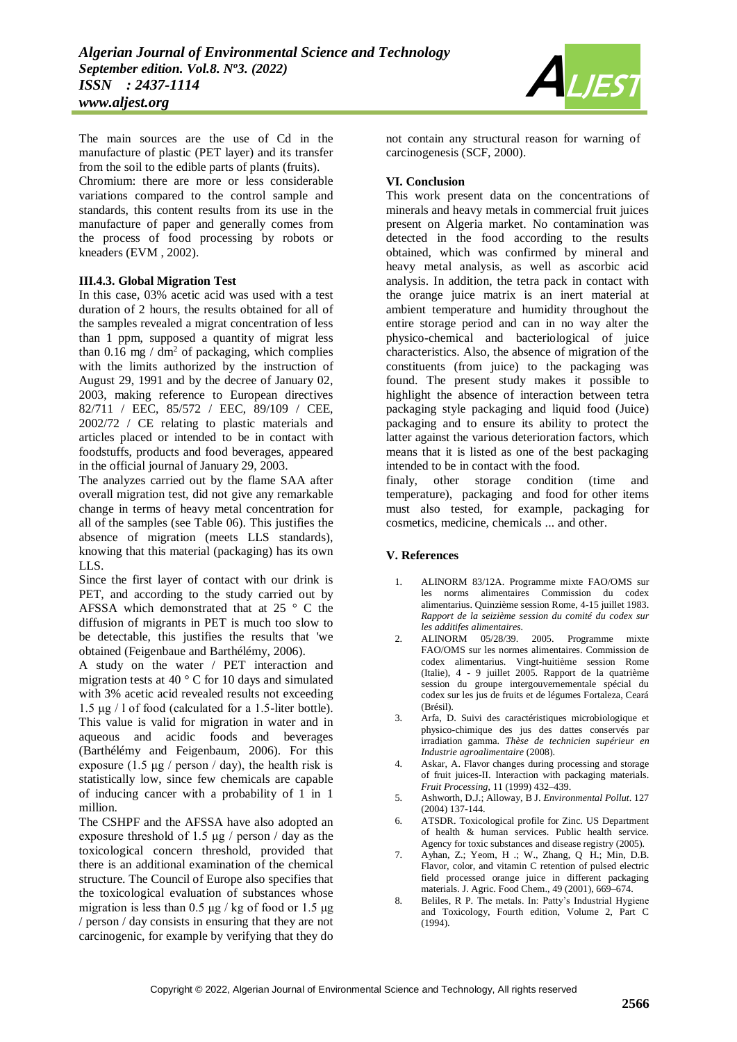The main sources are the use of Cd in the manufacture of plastic (PET layer) and its transfer from the soil to the edible parts of plants (fruits). Chromium: there are more or less considerable variations compared to the control sample and standards, this content results from its use in the manufacture of paper and generally comes from the process of food processing by robots or kneaders (EVM , 2002).

#### **III.4.3. Global Migration Test**

In this case, 03% acetic acid was used with a test duration of 2 hours, the results obtained for all of the samples revealed a migrat concentration of less than 1 ppm, supposed a quantity of migrat less than  $0.16$  mg / dm<sup>2</sup> of packaging, which complies with the limits authorized by the instruction of August 29, 1991 and by the decree of January 02, 2003, making reference to European directives 82/711 / EEC, 85/572 / EEC, 89/109 / CEE, 2002/72 / CE relating to plastic materials and articles placed or intended to be in contact with foodstuffs, products and food beverages, appeared in the official journal of January 29, 2003.

The analyzes carried out by the flame SAA after overall migration test, did not give any remarkable change in terms of heavy metal concentration for all of the samples (see Table 06). This justifies the absence of migration (meets LLS standards), knowing that this material (packaging) has its own LLS.

Since the first layer of contact with our drink is PET, and according to the study carried out by AFSSA which demonstrated that at 25 ° C the diffusion of migrants in PET is much too slow to be detectable, this justifies the results that 'we obtained (Feigenbaue and Barthélémy, 2006).

A study on the water / PET interaction and migration tests at 40 ° C for 10 days and simulated with 3% acetic acid revealed results not exceeding 1.5 μg / l of food (calculated for a 1.5-liter bottle). This value is valid for migration in water and in aqueous and acidic foods and beverages (Barthélémy and Feigenbaum, 2006). For this exposure (1.5  $\mu$ g / person / day), the health risk is statistically low, since few chemicals are capable of inducing cancer with a probability of 1 in 1 million.

The CSHPF and the AFSSA have also adopted an exposure threshold of 1.5 μg / person / day as the toxicological concern threshold, provided that there is an additional examination of the chemical structure. The Council of Europe also specifies that the toxicological evaluation of substances whose migration is less than  $0.5 \mu g$  / kg of food or 1.5  $\mu g$ / person / day consists in ensuring that they are not carcinogenic, for example by verifying that they do



not contain any structural reason for warning of carcinogenesis (SCF, 2000).

## **VI. Conclusion**

This work present data on the concentrations of minerals and heavy metals in commercial fruit juices present on Algeria market. No contamination was detected in the food according to the results obtained, which was confirmed by mineral and heavy metal analysis, as well as ascorbic acid analysis. In addition, the tetra pack in contact with the orange juice matrix is an inert material at ambient temperature and humidity throughout the entire storage period and can in no way alter the physico-chemical and bacteriological of juice characteristics. Also, the absence of migration of the constituents (from juice) to the packaging was found. The present study makes it possible to highlight the absence of interaction between tetra packaging style packaging and liquid food (Juice) packaging and to ensure its ability to protect the latter against the various deterioration factors, which means that it is listed as one of the best packaging intended to be in contact with the food.

finaly, other storage condition (time and temperature), packaging and food for other items must also tested, for example, packaging for cosmetics, medicine, chemicals ... and other.

## **V. References**

- 1. ALINORM 83/12A. Programme mixte FAO/OMS sur les norms alimentaires Commission du codex alimentarius. Quinzième session Rome, 4-15 juillet 1983. *Rapport de la seizième session du comité du codex sur les additifes alimentaires.*
- 2. ALINORM 05/28/39. 2005. Programme mixte FAO/OMS sur les normes alimentaires. Commission de codex alimentarius. Vingt-huitième session Rome (Italie), 4 - 9 juillet 2005. Rapport de la quatrième session du groupe intergouvernementale spécial du codex sur les jus de fruits et de légumes Fortaleza, Ceará (Brésil).
- 3. Arfa, D. Suivi des caractéristiques microbiologique et physico-chimique des jus des dattes conservés par irradiation gamma. *Thèse de technicien supérieur en Industrie agroalimentaire* (2008).
- 4. Askar, A. Flavor changes during processing and storage of fruit juices-II. Interaction with packaging materials. *Fruit Processing*, 11 (1999) 432–439.
- 5. Ashworth, D.J.; Alloway, B J. *Environmental Pollut*. 127 (2004) 137-144.
- 6. ATSDR. Toxicological profile for Zinc. US Department of health & human services. Public health service. Agency for toxic substances and disease registry (2005).
- 7. Ayhan, Z.; Yeom, H .; W., Zhang, Q H.; Min, D.B. Flavor, color, and vitamin C retention of pulsed electric field processed orange juice in different packaging materials. J. Agric. Food Chem., 49 (2001), 669–674.
- 8. Beliles, R P. The metals. In: Patty's Industrial Hygiene and Toxicology, Fourth edition, Volume 2, Part C (1994).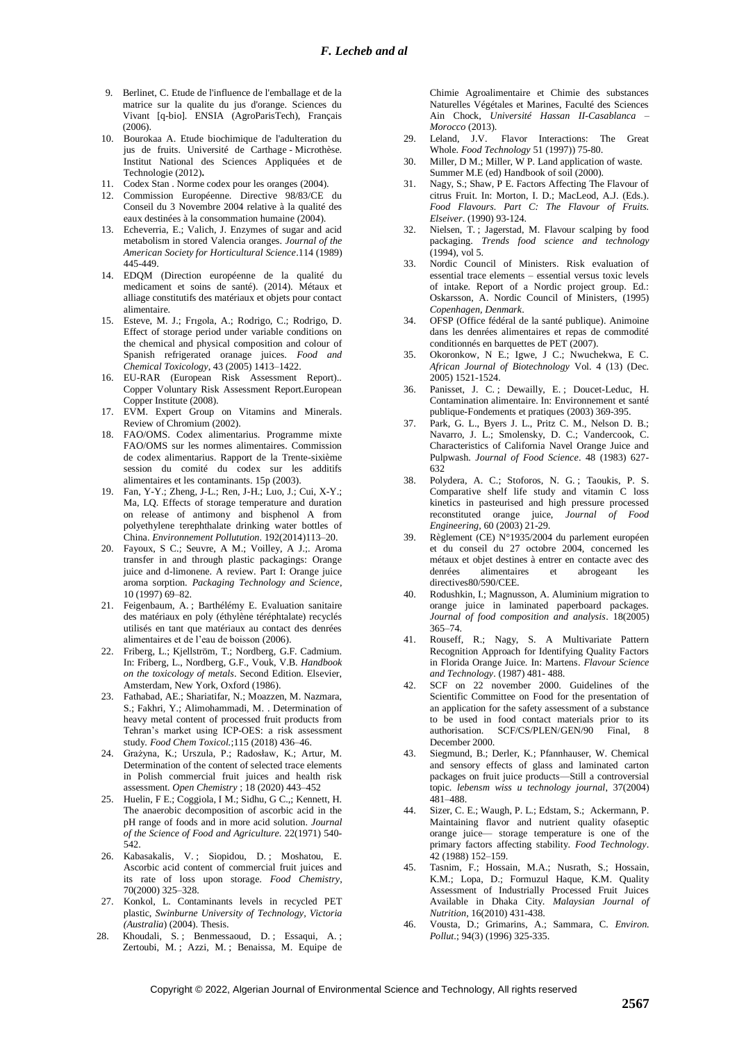- 9. Berlinet, C. Etude de l'influence de l'emballage et de la matrice sur la qualite du jus d'orange. Sciences du Vivant [q-bio]. ENSIA (AgroParisTech), Français (2006).
- 10. Bourokaa A. Etude biochimique de l'adulteration du jus de fruits. Université de Carthage - Microthèse. Institut National des Sciences Appliquées et de Technologie (2012)**.**
- 11. Codex Stan . Norme codex pour les oranges (2004).
- 12. Commission Européenne. Directive 98/83/CE du Conseil du 3 Novembre 2004 relative à la qualité des eaux destinées à la consommation humaine (2004).
- 13. Echeverria, E.; Valich, J. Enzymes of sugar and acid metabolism in stored Valencia oranges. *Journal of the American Society for Horticultural Science*.114 (1989) 445-449.
- 14. EDQM (Direction européenne de la qualité du medicament et soins de santé). (2014). Métaux et alliage constitutifs des matériaux et objets pour contact alimentaire.
- 15. Esteve, M. J.; Frıgola, A.; Rodrigo, C.; Rodrigo, D. Effect of storage period under variable conditions on the chemical and physical composition and colour of Spanish refrigerated oranage juices. *Food and Chemical Toxicology*, 43 (2005) 1413–1422.
- 16. EU-RAR (European Risk Assessment Report).. Copper Voluntary Risk Assessment Report.European Copper Institute (2008).
- 17. EVM. Expert Group on Vitamins and Minerals. Review of Chromium (2002).
- 18. FAO/OMS. Codex alimentarius. Programme mixte FAO/OMS sur les normes alimentaires. Commission de codex alimentarius. Rapport de la Trente-sixième session du comité du codex sur les additifs alimentaires et les contaminants. 15p (2003).
- 19. Fan, Y-Y.; Zheng, J-L.; Ren, J-H.; Luo, J.; Cui, X-Y.; Ma, LQ. Effects of storage temperature and duration on release of antimony and bisphenol A from polyethylene terephthalate drinking water bottles of China. *Environnement Pollutution*. 192(2014)113–20.
- 20. Fayoux, S C.; Seuvre, A M.; Voilley, A J.;. Aroma transfer in and through plastic packagings: Orange juice and d-limonene. A review. Part I: Orange juice aroma sorption. *Packaging Technology and Science*, 10 (1997) 69–82.
- 21. Feigenbaum, A. ; Barthélémy E. Evaluation sanitaire des matériaux en poly (éthylène téréphtalate) recyclés utilisés en tant que matériaux au contact des denrées alimentaires et de l'eau de boisson (2006).
- 22. Friberg, L.; Kjellström, T.; Nordberg, G.F. Cadmium. In: Friberg, L., Nordberg, G.F., Vouk, V.B. *Handbook on the toxicology of metals*. Second Edition. Elsevier, Amsterdam, New York, Oxford (1986).
- 23. Fathabad, AE.; Shariatifar, N.; Moazzen, M. Nazmara, S.; Fakhri, Y.; Alimohammadi, M. . Determination of heavy metal content of processed fruit products from Tehran's market using ICP-OES: a risk assessment study. *Food Chem Toxicol.*;115 (2018) 436–46.
- 24. Grażyna, K.; Urszula, P.; Radosław, K.; Artur, M. Determination of the content of selected trace elements in Polish commercial fruit juices and health risk assessment. *Open Chemistry* ; 18 (2020) 443–452
- 25. Huelin, F E.; Coggiola, I M.; Sidhu, G C.,; Kennett, H. The anaerobic decomposition of ascorbic acid in the pH range of foods and in more acid solution. *Journal of the Science of Food and Agriculture.* 22(1971) 540- 542.
- 26. Kabasakalis, V. ; Siopidou, D. ; Moshatou, E. Ascorbic acid content of commercial fruit juices and its rate of loss upon storage. *Food Chemistry*, 70(2000) 325–328.
- 27. Konkol, L. Contaminants levels in recycled PET plastic, *Swinburne University of Technology, Victoria (Australia*) (2004). Thesis.
- 28. Khoudali, S.; Benmessaoud, D.; Essaqui, A.; Zertoubi, M. ; Azzi, M. ; Benaissa, M. Equipe de

Chimie Agroalimentaire et Chimie des substances Naturelles Végétales et Marines, Faculté des Sciences Ain Chock, *Université Hassan II-Casablanca – Morocco* (2013).

- 29. Leland, J.V. Flavor Interactions: The Great Whole. *Food Technology* 51 (1997)) 75-80.
- 30. Miller, D M.; Miller, W P. Land application of waste. Summer M.E (ed) Handbook of soil (2000).
- 31. Nagy, S.; Shaw, P E. Factors Affecting The Flavour of citrus Fruit. In: Morton, I. D.; MacLeod, A.J. (Eds.). *Food Flavours. Part C: The Flavour of Fruits. Elseiver*. (1990) 93-124.
- 32. Nielsen, T. ; Jagerstad, M. Flavour scalping by food packaging. *Trends food science and technology* (1994), vol 5.
- 33. Nordic Council of Ministers. Risk evaluation of essential trace elements – essential versus toxic levels of intake. Report of a Nordic project group. Ed.: Oskarsson, A. Nordic Council of Ministers, (1995) *Copenhagen, Denmark*.
- 34. OFSP (Office fédéral de la santé publique). Animoine dans les denrées alimentaires et repas de commodité conditionnés en barquettes de PET (2007).
- 35. Okoronkow, N E.; Igwe, J C.; Nwuchekwa, E C. *African Journal of Biotechnology* Vol. 4 (13) (Dec. 2005) 1521-1524.
- 36. Panisset, J. C.; Dewailly, E.; Doucet-Leduc, H. Contamination alimentaire. In: Environnement et santé publique-Fondements et pratiques (2003) 369-395.
- 37. Park, G. L., Byers J. L., Pritz C. M., Nelson D. B.; Navarro, J. L.; Smolensky, D. C.; Vandercook, C. Characteristics of California Navel Orange Juice and Pulpwash. *Journal of Food Science*. 48 (1983) 627- 632
- 38. Polydera, A. C.; Stoforos, N. G. ; Taoukis, P. S. Comparative shelf life study and vitamin C loss kinetics in pasteurised and high pressure processed reconstituted orange juice, *Journal of Food Engineering,* 60 (2003) 21-29.
- 39. Règlement (CE) N°1935/2004 du parlement européen et du conseil du 27 octobre 2004, concerned les métaux et objet destines à entrer en contacte avec des denrées alimentaires et abrogeant les directives80/590/CEE.
- 40. Rodushkin, I.; Magnusson, A. Aluminium migration to orange juice in laminated paperboard packages. *Journal of food composition and analysis*. 18(2005) 365–74.
- 41. Rouseff, R.; Nagy, S. A Multivariate Pattern Recognition Approach for Identifying Quality Factors in Florida Orange Juice. In: Martens. *Flavour Science and Technology*. (1987) 481- 488.
- 42. SCF on 22 november 2000. Guidelines of the Scientific Committee on Food for the presentation of an application for the safety assessment of a substance to be used in food contact materials prior to its authorisation. SCF/CS/PLEN/GEN/90 Final, 8 December 2000.
- 43. Siegmund, B.; Derler, K.; Pfannhauser, W. Chemical and sensory effects of glass and laminated carton packages on fruit juice products—Still a controversial topic. *lebensm wiss u technology journal*, 37(2004) 481–488.
- 44. Sizer, C. E.; Waugh, P. L.; Edstam, S.; Ackermann, P. Maintaining flavor and nutrient quality ofaseptic orange juice— storage temperature is one of the primary factors affecting stability. *Food Technology*. 42 (1988) 152–159.
- 45. Tasnim, F.; Hossain, M.A.; Nusrath, S.; Hossain, K.M.; Lopa, D.; Formuzul Haque, K.M. Quality Assessment of Industrially Processed Fruit Juices Available in Dhaka City. *Malaysian Journal of Nutrition*, 16(2010) 431-438.
- 46. Vousta, D.; Grimarins, A.; Sammara, C. *Environ. Pollut*.; 94(3) (1996) 325-335.